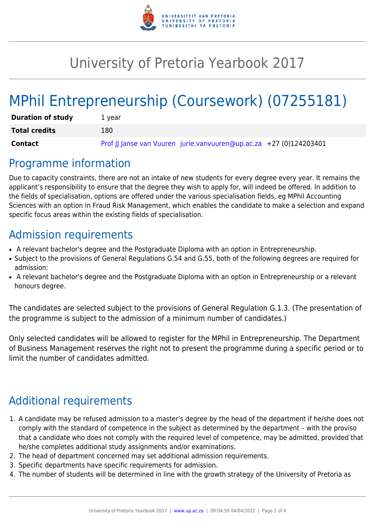

## University of Pretoria Yearbook 2017

# MPhil Entrepreneurship (Coursework) (07255181)

| <b>Duration of study</b> | 1 vear                                                             |
|--------------------------|--------------------------------------------------------------------|
| <b>Total credits</b>     | 180                                                                |
| Contact                  | Prof JJ Janse van Vuuren jurie.vanvuuren@up.ac.za +27 (0)124203401 |

### Programme information

Due to capacity constraints, there are not an intake of new students for every degree every year. It remains the applicant's responsibility to ensure that the degree they wish to apply for, will indeed be offered. In addition to the fields of specialisation, options are offered under the various specialisation fields, eg MPhil Accounting Sciences with an option in Fraud Risk Management, which enables the candidate to make a selection and expand specific focus areas within the existing fields of specialisation.

### Admission requirements

- A relevant bachelor's degree and the Postgraduate Diploma with an option in Entrepreneurship.
- Subject to the provisions of General Regulations G.54 and G.55, both of the following degrees are required for admission:
- A relevant bachelor's degree and the Postgraduate Diploma with an option in Entrepreneurship or a relevant honours degree.

The candidates are selected subject to the provisions of General Regulation G.1.3. (The presentation of the programme is subject to the admission of a minimum number of candidates.)

Only selected candidates will be allowed to register for the MPhil in Entrepreneurship. The Department of Business Management reserves the right not to present the programme during a specific period or to limit the number of candidates admitted.

## Additional requirements

- 1. A candidate may be refused admission to a master's degree by the head of the department if he/she does not comply with the standard of competence in the subject as determined by the department – with the proviso that a candidate who does not comply with the required level of competence, may be admitted, provided that he/she completes additional study assignments and/or examinations.
- 2. The head of department concerned may set additional admission requirements.
- 3. Specific departments have specific requirements for admission.
- 4. The number of students will be determined in line with the growth strategy of the University of Pretoria as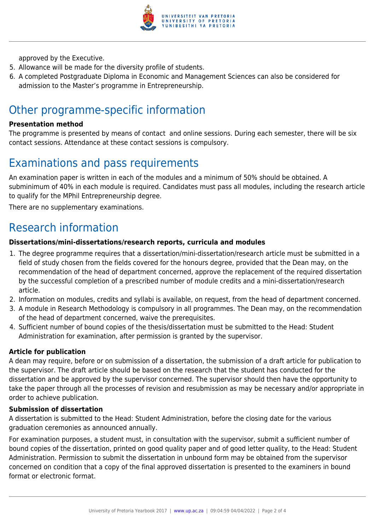

approved by the Executive.

- 5. Allowance will be made for the diversity profile of students.
- 6. A completed Postgraduate Diploma in Economic and Management Sciences can also be considered for admission to the Master's programme in Entrepreneurship.

### Other programme-specific information

#### **Presentation method**

The programme is presented by means of contact and online sessions. During each semester, there will be six contact sessions. Attendance at these contact sessions is compulsory.

### Examinations and pass requirements

An examination paper is written in each of the modules and a minimum of 50% should be obtained. A subminimum of 40% in each module is required. Candidates must pass all modules, including the research article to qualify for the MPhil Entrepreneurship degree.

There are no supplementary examinations.

### Research information

#### **Dissertations/mini-dissertations/research reports, curricula and modules**

- 1. The degree programme requires that a dissertation/mini-dissertation/research article must be submitted in a field of study chosen from the fields covered for the honours degree, provided that the Dean may, on the recommendation of the head of department concerned, approve the replacement of the required dissertation by the successful completion of a prescribed number of module credits and a mini-dissertation/research article.
- 2. Information on modules, credits and syllabi is available, on request, from the head of department concerned.
- 3. A module in Research Methodology is compulsory in all programmes. The Dean may, on the recommendation of the head of department concerned, waive the prerequisites.
- 4. Sufficient number of bound copies of the thesis/dissertation must be submitted to the Head: Student Administration for examination, after permission is granted by the supervisor.

#### **Article for publication**

A dean may require, before or on submission of a dissertation, the submission of a draft article for publication to the supervisor. The draft article should be based on the research that the student has conducted for the dissertation and be approved by the supervisor concerned. The supervisor should then have the opportunity to take the paper through all the processes of revision and resubmission as may be necessary and/or appropriate in order to achieve publication.

#### **Submission of dissertation**

A dissertation is submitted to the Head: Student Administration, before the closing date for the various graduation ceremonies as announced annually.

For examination purposes, a student must, in consultation with the supervisor, submit a sufficient number of bound copies of the dissertation, printed on good quality paper and of good letter quality, to the Head: Student Administration. Permission to submit the dissertation in unbound form may be obtained from the supervisor concerned on condition that a copy of the final approved dissertation is presented to the examiners in bound format or electronic format.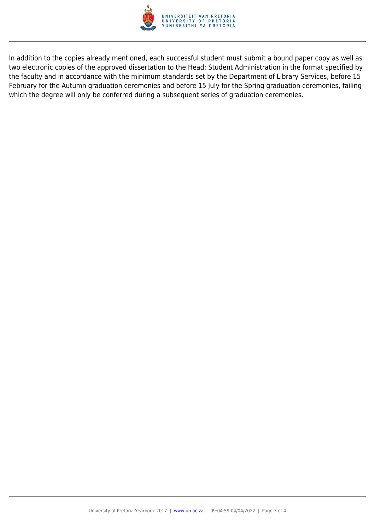

In addition to the copies already mentioned, each successful student must submit a bound paper copy as well as two electronic copies of the approved dissertation to the Head: Student Administration in the format specified by the faculty and in accordance with the minimum standards set by the Department of Library Services, before 15 February for the Autumn graduation ceremonies and before 15 July for the Spring graduation ceremonies, failing which the degree will only be conferred during a subsequent series of graduation ceremonies.